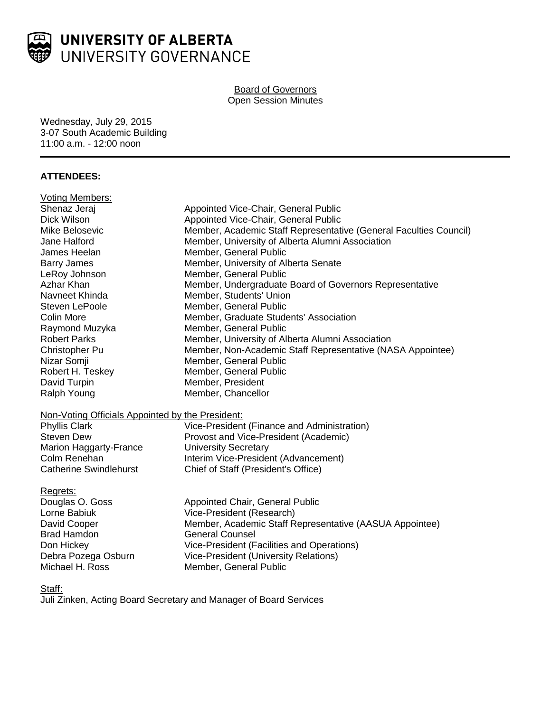

# Board of Governors Open Session Minutes

Wednesday, July 29, 2015 3-07 South Academic Building 11:00 a.m. - 12:00 noon

# **ATTENDEES:**

| <b>Voting Members:</b>                           |                                                                   |
|--------------------------------------------------|-------------------------------------------------------------------|
| Shenaz Jeraj                                     | Appointed Vice-Chair, General Public                              |
| <b>Dick Wilson</b>                               | Appointed Vice-Chair, General Public                              |
| Mike Belosevic                                   | Member, Academic Staff Representative (General Faculties Council) |
| Jane Halford                                     | Member, University of Alberta Alumni Association                  |
| James Heelan                                     | Member, General Public                                            |
| <b>Barry James</b>                               | Member, University of Alberta Senate                              |
| LeRoy Johnson                                    | Member, General Public                                            |
| Azhar Khan                                       | Member, Undergraduate Board of Governors Representative           |
| Navneet Khinda                                   | Member, Students' Union                                           |
| <b>Steven LePoole</b>                            | Member, General Public                                            |
| <b>Colin More</b>                                | Member, Graduate Students' Association                            |
| Raymond Muzyka                                   | Member, General Public                                            |
| <b>Robert Parks</b>                              | Member, University of Alberta Alumni Association                  |
| Christopher Pu                                   | Member, Non-Academic Staff Representative (NASA Appointee)        |
| Nizar Somji                                      | Member, General Public                                            |
| Robert H. Teskey                                 | Member, General Public                                            |
| David Turpin                                     | Member, President                                                 |
| Ralph Young                                      | Member, Chancellor                                                |
| Non-Voting Officials Appointed by the President: |                                                                   |
| <b>Phyllis Clark</b>                             | Vice-President (Finance and Administration)                       |
| <b>Steven Dew</b>                                | Provost and Vice-President (Academic)                             |
| Marion Haggarty-France                           | <b>University Secretary</b>                                       |
| Colm Renehan                                     | Interim Vice-President (Advancement)                              |
| <b>Catherine Swindlehurst</b>                    | Chief of Staff (President's Office)                               |
| Regrets:                                         |                                                                   |
| Douglas O. Goss                                  | Appointed Chair, General Public                                   |
| Lorne Babiuk                                     | Vice-President (Research)                                         |
| David Cooper                                     | Member, Academic Staff Representative (AASUA Appointee)           |
| <b>Brad Hamdon</b>                               | <b>General Counsel</b>                                            |
| Don Hickey                                       | Vice-President (Facilities and Operations)                        |
| Debra Pozega Osburn                              | <b>Vice-President (University Relations)</b>                      |
| Michael H. Ross                                  | Member, General Public                                            |

Staff:

Juli Zinken, Acting Board Secretary and Manager of Board Services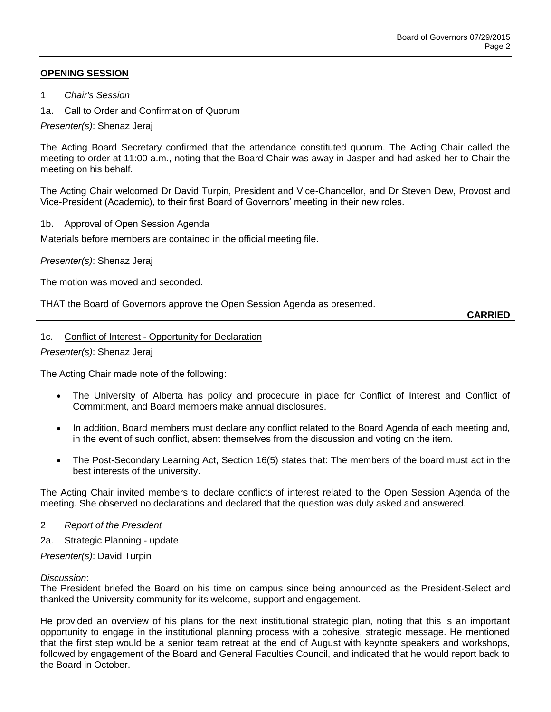## **OPENING SESSION**

- 1. *Chair's Session*
- 1a. Call to Order and Confirmation of Quorum

*Presenter(s)*: Shenaz Jeraj

The Acting Board Secretary confirmed that the attendance constituted quorum. The Acting Chair called the meeting to order at 11:00 a.m., noting that the Board Chair was away in Jasper and had asked her to Chair the meeting on his behalf.

The Acting Chair welcomed Dr David Turpin, President and Vice-Chancellor, and Dr Steven Dew, Provost and Vice-President (Academic), to their first Board of Governors' meeting in their new roles.

### 1b. Approval of Open Session Agenda

Materials before members are contained in the official meeting file.

*Presenter(s)*: Shenaz Jeraj

The motion was moved and seconded.

THAT the Board of Governors approve the Open Session Agenda as presented.

**CARRIED**

#### 1c. Conflict of Interest - Opportunity for Declaration

*Presenter(s)*: Shenaz Jeraj

The Acting Chair made note of the following:

- The University of Alberta has policy and procedure in place for Conflict of Interest and Conflict of Commitment, and Board members make annual disclosures.
- In addition, Board members must declare any conflict related to the Board Agenda of each meeting and, in the event of such conflict, absent themselves from the discussion and voting on the item.
- The Post-Secondary Learning Act, Section 16(5) states that: The members of the board must act in the best interests of the university.

The Acting Chair invited members to declare conflicts of interest related to the Open Session Agenda of the meeting. She observed no declarations and declared that the question was duly asked and answered.

- 2. *Report of the President*
- 2a. Strategic Planning update

*Presenter(s)*: David Turpin

#### *Discussion*:

The President briefed the Board on his time on campus since being announced as the President-Select and thanked the University community for its welcome, support and engagement.

He provided an overview of his plans for the next institutional strategic plan, noting that this is an important opportunity to engage in the institutional planning process with a cohesive, strategic message. He mentioned that the first step would be a senior team retreat at the end of August with keynote speakers and workshops, followed by engagement of the Board and General Faculties Council, and indicated that he would report back to the Board in October.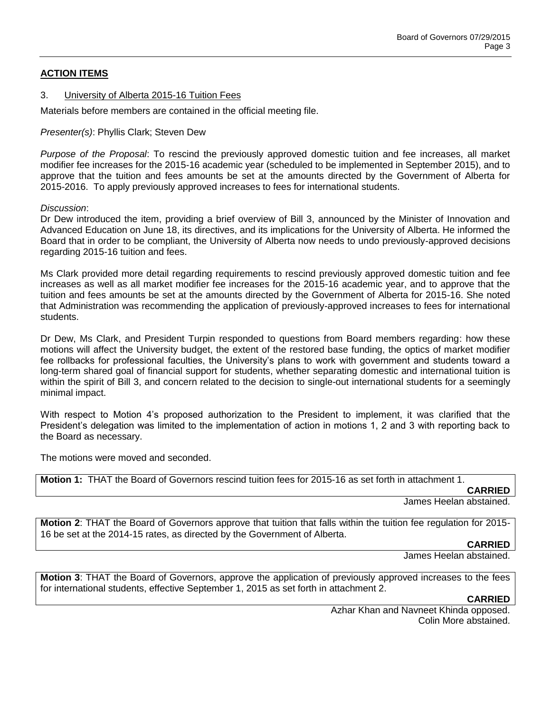# **ACTION ITEMS**

### 3. University of Alberta 2015-16 Tuition Fees

Materials before members are contained in the official meeting file.

*Presenter(s)*: Phyllis Clark; Steven Dew

*Purpose of the Proposal*: To rescind the previously approved domestic tuition and fee increases, all market modifier fee increases for the 2015-16 academic year (scheduled to be implemented in September 2015), and to approve that the tuition and fees amounts be set at the amounts directed by the Government of Alberta for 2015-2016. To apply previously approved increases to fees for international students.

*Discussion*:

Dr Dew introduced the item, providing a brief overview of Bill 3, announced by the Minister of Innovation and Advanced Education on June 18, its directives, and its implications for the University of Alberta. He informed the Board that in order to be compliant, the University of Alberta now needs to undo previously-approved decisions regarding 2015-16 tuition and fees.

Ms Clark provided more detail regarding requirements to rescind previously approved domestic tuition and fee increases as well as all market modifier fee increases for the 2015-16 academic year, and to approve that the tuition and fees amounts be set at the amounts directed by the Government of Alberta for 2015-16. She noted that Administration was recommending the application of previously-approved increases to fees for international students.

Dr Dew, Ms Clark, and President Turpin responded to questions from Board members regarding: how these motions will affect the University budget, the extent of the restored base funding, the optics of market modifier fee rollbacks for professional faculties, the University's plans to work with government and students toward a long-term shared goal of financial support for students, whether separating domestic and international tuition is within the spirit of Bill 3, and concern related to the decision to single-out international students for a seemingly minimal impact.

With respect to Motion 4's proposed authorization to the President to implement, it was clarified that the President's delegation was limited to the implementation of action in motions 1, 2 and 3 with reporting back to the Board as necessary.

The motions were moved and seconded.

**Motion 1:** THAT the Board of Governors rescind tuition fees for 2015-16 as set forth in attachment 1.

**CARRIED**

James Heelan abstained.

**Motion 2**: THAT the Board of Governors approve that tuition that falls within the tuition fee regulation for 2015- 16 be set at the 2014-15 rates, as directed by the Government of Alberta.

**CARRIED**

James Heelan abstained.

**Motion 3**: THAT the Board of Governors, approve the application of previously approved increases to the fees for international students, effective September 1, 2015 as set forth in attachment 2.

### **CARRIED**

Azhar Khan and Navneet Khinda opposed. Colin More abstained.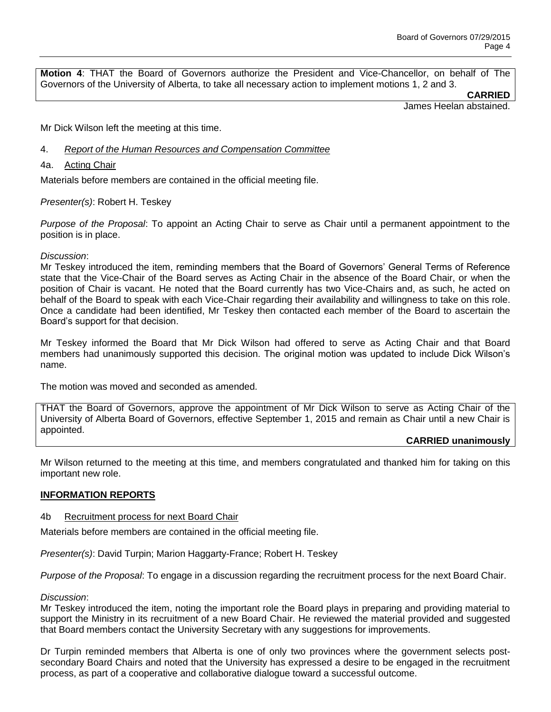**Motion 4**: THAT the Board of Governors authorize the President and Vice-Chancellor, on behalf of The Governors of the University of Alberta, to take all necessary action to implement motions 1, 2 and 3.

**CARRIED**

James Heelan abstained.

Mr Dick Wilson left the meeting at this time.

- 4. *Report of the Human Resources and Compensation Committee*
- 4a. Acting Chair

Materials before members are contained in the official meeting file.

#### *Presenter(s)*: Robert H. Teskey

*Purpose of the Proposal*: To appoint an Acting Chair to serve as Chair until a permanent appointment to the position is in place.

#### *Discussion*:

Mr Teskey introduced the item, reminding members that the Board of Governors' General Terms of Reference state that the Vice-Chair of the Board serves as Acting Chair in the absence of the Board Chair, or when the position of Chair is vacant. He noted that the Board currently has two Vice-Chairs and, as such, he acted on behalf of the Board to speak with each Vice-Chair regarding their availability and willingness to take on this role. Once a candidate had been identified, Mr Teskey then contacted each member of the Board to ascertain the Board's support for that decision.

Mr Teskey informed the Board that Mr Dick Wilson had offered to serve as Acting Chair and that Board members had unanimously supported this decision. The original motion was updated to include Dick Wilson's name.

The motion was moved and seconded as amended.

THAT the Board of Governors, approve the appointment of Mr Dick Wilson to serve as Acting Chair of the University of Alberta Board of Governors, effective September 1, 2015 and remain as Chair until a new Chair is appointed.

### **CARRIED unanimously**

Mr Wilson returned to the meeting at this time, and members congratulated and thanked him for taking on this important new role.

### **INFORMATION REPORTS**

#### 4b Recruitment process for next Board Chair

Materials before members are contained in the official meeting file.

*Presenter(s)*: David Turpin; Marion Haggarty-France; Robert H. Teskey

*Purpose of the Proposal*: To engage in a discussion regarding the recruitment process for the next Board Chair.

#### *Discussion*:

Mr Teskey introduced the item, noting the important role the Board plays in preparing and providing material to support the Ministry in its recruitment of a new Board Chair. He reviewed the material provided and suggested that Board members contact the University Secretary with any suggestions for improvements.

Dr Turpin reminded members that Alberta is one of only two provinces where the government selects postsecondary Board Chairs and noted that the University has expressed a desire to be engaged in the recruitment process, as part of a cooperative and collaborative dialogue toward a successful outcome.